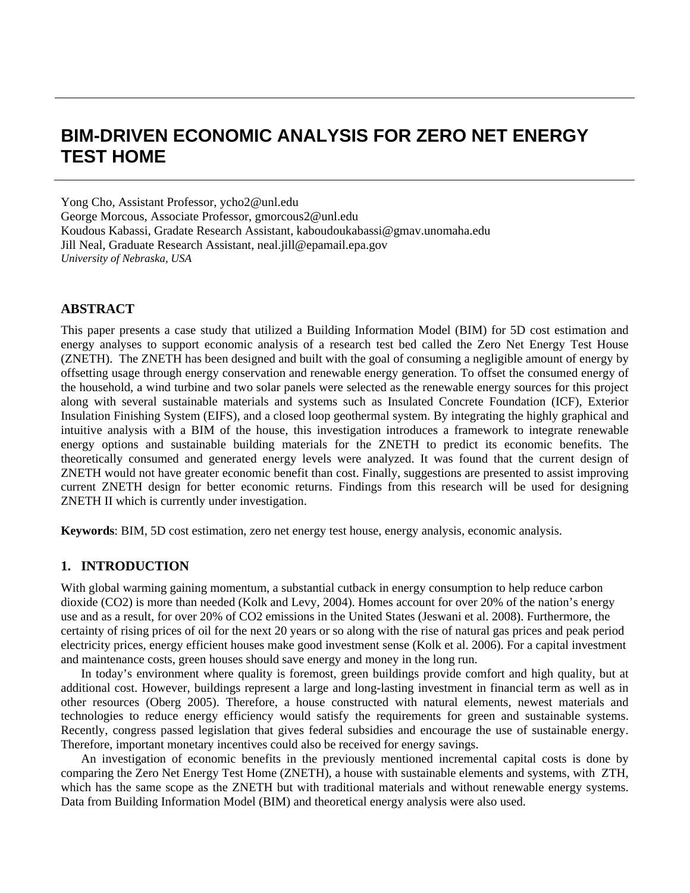# **BIM-DRIVEN ECONOMIC ANALYSIS FOR ZERO NET ENERGY TEST HOME**

Yong Cho, Assistant Professor, ycho2@unl.edu

George Morcous, Associate Professor, gmorcous2@unl.edu Koudous Kabassi, Gradate Research Assistant, kaboudoukabassi@gmav.unomaha.edu Jill Neal, Graduate Research Assistant, neal.jill@epamail.epa.gov *University of Nebraska, USA* 

### **ABSTRACT**

This paper presents a case study that utilized a Building Information Model (BIM) for 5D cost estimation and energy analyses to support economic analysis of a research test bed called the Zero Net Energy Test House (ZNETH). The ZNETH has been designed and built with the goal of consuming a negligible amount of energy by offsetting usage through energy conservation and renewable energy generation. To offset the consumed energy of the household, a wind turbine and two solar panels were selected as the renewable energy sources for this project along with several sustainable materials and systems such as Insulated Concrete Foundation (ICF), Exterior Insulation Finishing System (EIFS), and a closed loop geothermal system. By integrating the highly graphical and intuitive analysis with a BIM of the house, this investigation introduces a framework to integrate renewable energy options and sustainable building materials for the ZNETH to predict its economic benefits. The theoretically consumed and generated energy levels were analyzed. It was found that the current design of ZNETH would not have greater economic benefit than cost. Finally, suggestions are presented to assist improving current ZNETH design for better economic returns. Findings from this research will be used for designing ZNETH II which is currently under investigation.

**Keywords**: BIM, 5D cost estimation, zero net energy test house, energy analysis, economic analysis.

#### **1. INTRODUCTION**

With global warming gaining momentum, a substantial cutback in energy consumption to help reduce carbon dioxide (CO2) is more than needed (Kolk and Levy, 2004). Homes account for over 20% of the nation's energy use and as a result, for over 20% of CO2 emissions in the United States (Jeswani et al. 2008). Furthermore, the certainty of rising prices of oil for the next 20 years or so along with the rise of natural gas prices and peak period electricity prices, energy efficient houses make good investment sense (Kolk et al. 2006). For a capital investment and maintenance costs, green houses should save energy and money in the long run.

 In today's environment where quality is foremost, green buildings provide comfort and high quality, but at additional cost. However, buildings represent a large and long-lasting investment in financial term as well as in other resources (Oberg 2005). Therefore, a house constructed with natural elements, newest materials and technologies to reduce energy efficiency would satisfy the requirements for green and sustainable systems. Recently, congress passed legislation that gives federal subsidies and encourage the use of sustainable energy. Therefore, important monetary incentives could also be received for energy savings.

 An investigation of economic benefits in the previously mentioned incremental capital costs is done by comparing the Zero Net Energy Test Home (ZNETH), a house with sustainable elements and systems, with ZTH, which has the same scope as the ZNETH but with traditional materials and without renewable energy systems. Data from Building Information Model (BIM) and theoretical energy analysis were also used.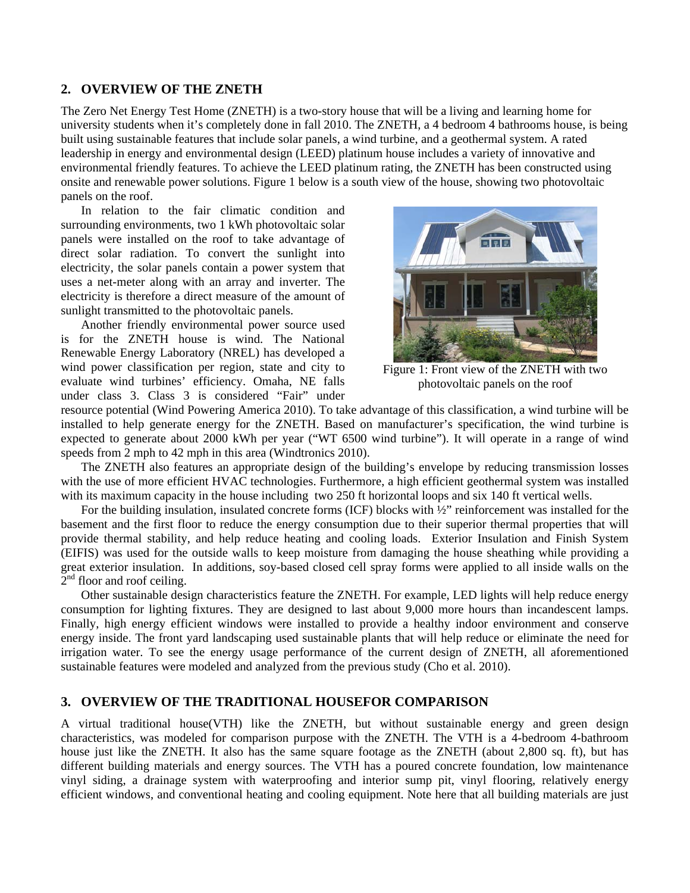## **2. OVERVIEW OF THE ZNETH**

The Zero Net Energy Test Home (ZNETH) is a two-story house that will be a living and learning home for university students when it's completely done in fall 2010. The ZNETH, a 4 bedroom 4 bathrooms house, is being built using sustainable features that include solar panels, a wind turbine, and a geothermal system. A rated leadership in energy and environmental design (LEED) platinum house includes a variety of innovative and environmental friendly features. To achieve the LEED platinum rating, the ZNETH has been constructed using onsite and renewable power solutions. Figure 1 below is a south view of the house, showing two photovoltaic panels on the roof.

 In relation to the fair climatic condition and surrounding environments, two 1 kWh photovoltaic solar panels were installed on the roof to take advantage of direct solar radiation. To convert the sunlight into electricity, the solar panels contain a power system that uses a net-meter along with an array and inverter. The electricity is therefore a direct measure of the amount of sunlight transmitted to the photovoltaic panels.

 Another friendly environmental power source used is for the ZNETH house is wind. The National Renewable Energy Laboratory (NREL) has developed a wind power classification per region, state and city to evaluate wind turbines' efficiency. Omaha, NE falls under class 3. Class 3 is considered "Fair" under



Figure 1: Front view of the ZNETH with two photovoltaic panels on the roof

resource potential (Wind Powering America 2010). To take advantage of this classification, a wind turbine will be installed to help generate energy for the ZNETH. Based on manufacturer's specification, the wind turbine is expected to generate about 2000 kWh per year ("WT 6500 wind turbine"). It will operate in a range of wind speeds from 2 mph to 42 mph in this area (Windtronics 2010).

 The ZNETH also features an appropriate design of the building's envelope by reducing transmission losses with the use of more efficient HVAC technologies. Furthermore, a high efficient geothermal system was installed with its maximum capacity in the house including two 250 ft horizontal loops and six 140 ft vertical wells.

 For the building insulation, insulated concrete forms (ICF) blocks with ½" reinforcement was installed for the basement and the first floor to reduce the energy consumption due to their superior thermal properties that will provide thermal stability, and help reduce heating and cooling loads. Exterior Insulation and Finish System (EIFIS) was used for the outside walls to keep moisture from damaging the house sheathing while providing a great exterior insulation. In additions, soy-based closed cell spray forms were applied to all inside walls on the  $2<sup>nd</sup>$  floor and roof ceiling.

 Other sustainable design characteristics feature the ZNETH. For example, LED lights will help reduce energy consumption for lighting fixtures. They are designed to last about 9,000 more hours than incandescent lamps. Finally, high energy efficient windows were installed to provide a healthy indoor environment and conserve energy inside. The front yard landscaping used sustainable plants that will help reduce or eliminate the need for irrigation water. To see the energy usage performance of the current design of ZNETH, all aforementioned sustainable features were modeled and analyzed from the previous study (Cho et al. 2010).

# **3. OVERVIEW OF THE TRADITIONAL HOUSEFOR COMPARISON**

A virtual traditional house(VTH) like the ZNETH, but without sustainable energy and green design characteristics, was modeled for comparison purpose with the ZNETH. The VTH is a 4-bedroom 4-bathroom house just like the ZNETH. It also has the same square footage as the ZNETH (about 2,800 sq. ft), but has different building materials and energy sources. The VTH has a poured concrete foundation, low maintenance vinyl siding, a drainage system with waterproofing and interior sump pit, vinyl flooring, relatively energy efficient windows, and conventional heating and cooling equipment. Note here that all building materials are just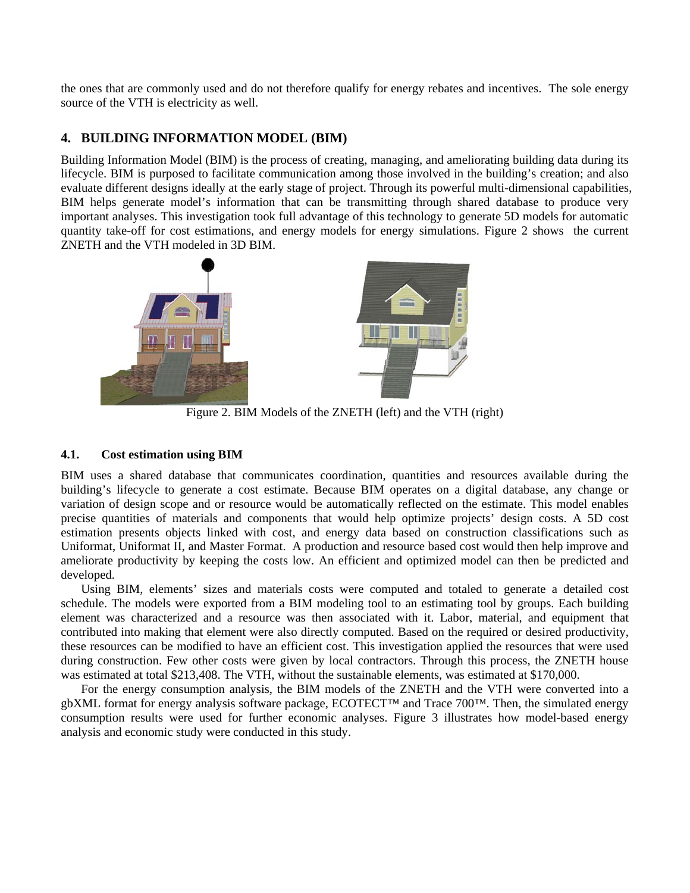the ones that are commonly used and do not therefore qualify for energy rebates and incentives. The sole energy source of the VTH is electricity as well.

# **4. BUILDING INFORMATION MODEL (BIM)**

Building Information Model (BIM) is the process of creating, managing, and ameliorating building data during its lifecycle. BIM is purposed to facilitate communication among those involved in the building's creation; and also evaluate different designs ideally at the early stage of project. Through its powerful multi-dimensional capabilities, BIM helps generate model's information that can be transmitting through shared database to produce very important analyses. This investigation took full advantage of this technology to generate 5D models for automatic quantity take-off for cost estimations, and energy models for energy simulations. Figure 2 shows the current ZNETH and the VTH modeled in 3D BIM.



Figure 2. BIM Models of the ZNETH (left) and the VTH (right)

### **4.1. Cost estimation using BIM**

BIM uses a shared database that communicates coordination, quantities and resources available during the building's lifecycle to generate a cost estimate. Because BIM operates on a digital database, any change or variation of design scope and or resource would be automatically reflected on the estimate. This model enables precise quantities of materials and components that would help optimize projects' design costs. A 5D cost estimation presents objects linked with cost, and energy data based on construction classifications such as Uniformat, Uniformat II, and Master Format. A production and resource based cost would then help improve and ameliorate productivity by keeping the costs low. An efficient and optimized model can then be predicted and developed.

 Using BIM, elements' sizes and materials costs were computed and totaled to generate a detailed cost schedule. The models were exported from a BIM modeling tool to an estimating tool by groups. Each building element was characterized and a resource was then associated with it. Labor, material, and equipment that contributed into making that element were also directly computed. Based on the required or desired productivity, these resources can be modified to have an efficient cost. This investigation applied the resources that were used during construction. Few other costs were given by local contractors. Through this process, the ZNETH house was estimated at total \$213,408. The VTH, without the sustainable elements, was estimated at \$170,000.

 For the energy consumption analysis, the BIM models of the ZNETH and the VTH were converted into a gbXML format for energy analysis software package, ECOTECT™ and Trace 700™. Then, the simulated energy consumption results were used for further economic analyses. Figure 3 illustrates how model-based energy analysis and economic study were conducted in this study.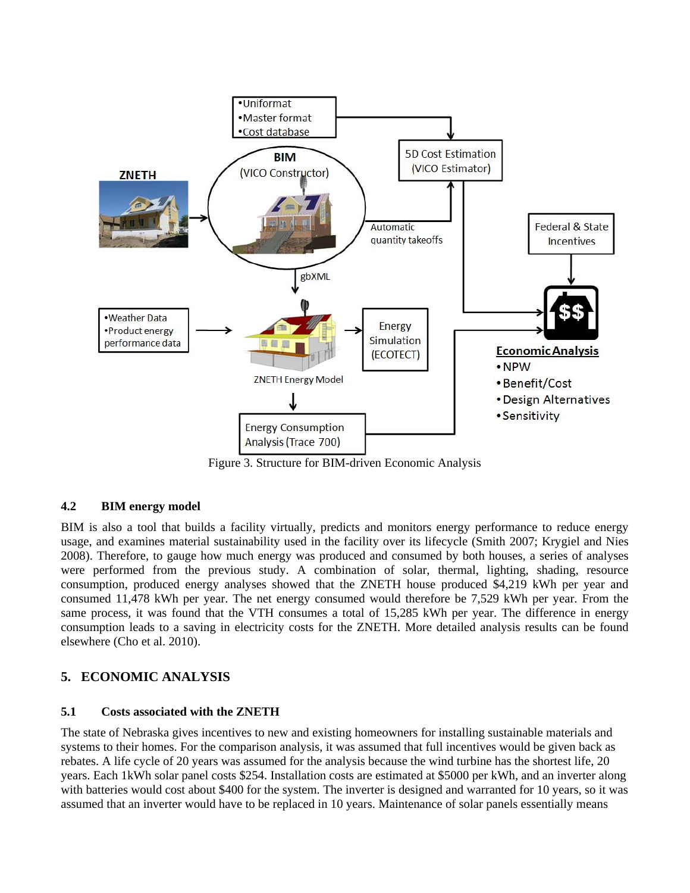

Figure 3. Structure for BIM-driven Economic Analysis

### **4.2 BIM energy model**

BIM is also a tool that builds a facility virtually, predicts and monitors energy performance to reduce energy usage, and examines material sustainability used in the facility over its lifecycle (Smith 2007; Krygiel and Nies 2008). Therefore, to gauge how much energy was produced and consumed by both houses, a series of analyses were performed from the previous study. A combination of solar, thermal, lighting, shading, resource consumption, produced energy analyses showed that the ZNETH house produced \$4,219 kWh per year and consumed 11,478 kWh per year. The net energy consumed would therefore be 7,529 kWh per year. From the same process, it was found that the VTH consumes a total of 15,285 kWh per year. The difference in energy consumption leads to a saving in electricity costs for the ZNETH. More detailed analysis results can be found elsewhere (Cho et al. 2010).

# **5. ECONOMIC ANALYSIS**

### **5.1 Costs associated with the ZNETH**

The state of Nebraska gives incentives to new and existing homeowners for installing sustainable materials and systems to their homes. For the comparison analysis, it was assumed that full incentives would be given back as rebates. A life cycle of 20 years was assumed for the analysis because the wind turbine has the shortest life, 20 years. Each 1kWh solar panel costs \$254. Installation costs are estimated at \$5000 per kWh, and an inverter along with batteries would cost about \$400 for the system. The inverter is designed and warranted for 10 years, so it was assumed that an inverter would have to be replaced in 10 years. Maintenance of solar panels essentially means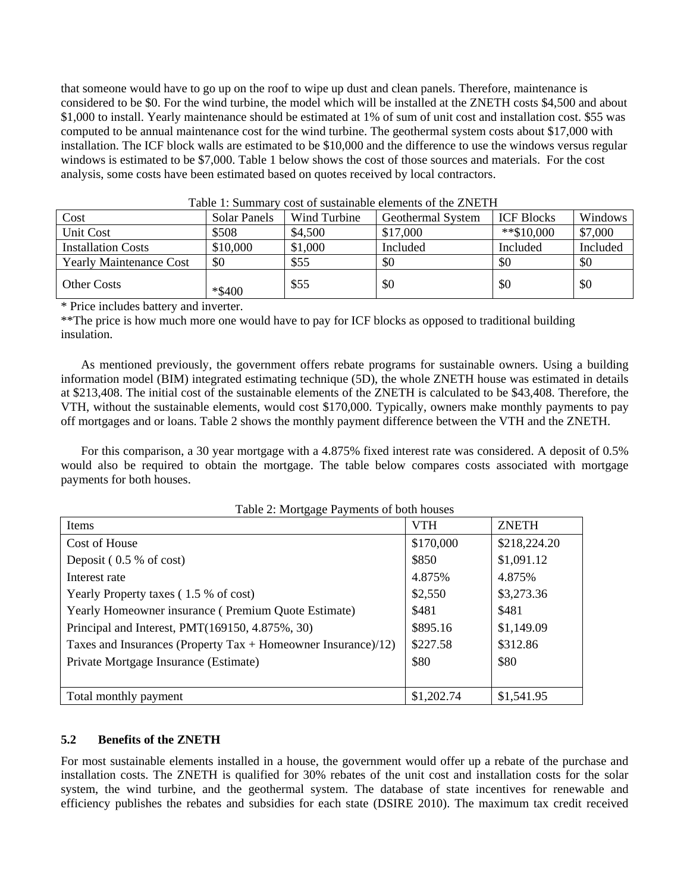that someone would have to go up on the roof to wipe up dust and clean panels. Therefore, maintenance is considered to be \$0. For the wind turbine, the model which will be installed at the ZNETH costs \$4,500 and about \$1,000 to install. Yearly maintenance should be estimated at 1% of sum of unit cost and installation cost. \$55 was computed to be annual maintenance cost for the wind turbine. The geothermal system costs about \$17,000 with installation. The ICF block walls are estimated to be \$10,000 and the difference to use the windows versus regular windows is estimated to be \$7,000. Table 1 below shows the cost of those sources and materials. For the cost analysis, some costs have been estimated based on quotes received by local contractors.

| $10010 + 10011111101$<br><u>cope of papaminote elements of the media</u> |              |              |                   |                   |          |
|--------------------------------------------------------------------------|--------------|--------------|-------------------|-------------------|----------|
| Cost                                                                     | Solar Panels | Wind Turbine | Geothermal System | <b>ICF Blocks</b> | Windows  |
| Unit Cost                                                                | \$508        | \$4,500      | \$17,000          | $**\$10,000$      | \$7,000  |
| <b>Installation Costs</b>                                                | \$10,000     | \$1,000      | Included          | Included          | Included |
| <b>Yearly Maintenance Cost</b>                                           | \$0          | \$55         | \$0               | \$0               | \$0      |
| <b>Other Costs</b>                                                       | *\$400       | \$55         | \$0               | \$0               | \$0      |

|  | Table 1: Summary cost of sustainable elements of the ZNETH |  |
|--|------------------------------------------------------------|--|
|--|------------------------------------------------------------|--|

\* Price includes battery and inverter.

\*\*The price is how much more one would have to pay for ICF blocks as opposed to traditional building insulation.

 As mentioned previously, the government offers rebate programs for sustainable owners. Using a building information model (BIM) integrated estimating technique (5D), the whole ZNETH house was estimated in details at \$213,408. The initial cost of the sustainable elements of the ZNETH is calculated to be \$43,408. Therefore, the VTH, without the sustainable elements, would cost \$170,000. Typically, owners make monthly payments to pay off mortgages and or loans. Table 2 shows the monthly payment difference between the VTH and the ZNETH.

 For this comparison, a 30 year mortgage with a 4.875% fixed interest rate was considered. A deposit of 0.5% would also be required to obtain the mortgage. The table below compares costs associated with mortgage payments for both houses.

| Items                                                           | <b>VTH</b> | <b>ZNETH</b> |
|-----------------------------------------------------------------|------------|--------------|
| Cost of House                                                   | \$170,000  | \$218,224.20 |
| Deposit (0.5 % of cost)                                         | \$850      | \$1,091.12   |
| Interest rate                                                   | 4.875%     | 4.875%       |
| Yearly Property taxes (1.5 % of cost)                           | \$2,550    | \$3,273.36   |
| Yearly Homeowner insurance (Premium Quote Estimate)             | \$481      | \$481        |
| Principal and Interest, PMT(169150, 4.875%, 30)                 | \$895.16   | \$1,149.09   |
| Taxes and Insurances (Property Tax $+$ Homeowner Insurance)/12) | \$227.58   | \$312.86     |
| Private Mortgage Insurance (Estimate)                           | \$80       | \$80         |
|                                                                 |            |              |
| Total monthly payment                                           | \$1,202.74 | \$1,541.95   |

### **5.2 Benefits of the ZNETH**

For most sustainable elements installed in a house, the government would offer up a rebate of the purchase and installation costs. The ZNETH is qualified for 30% rebates of the unit cost and installation costs for the solar system, the wind turbine, and the geothermal system. The database of state incentives for renewable and efficiency publishes the rebates and subsidies for each state (DSIRE 2010). The maximum tax credit received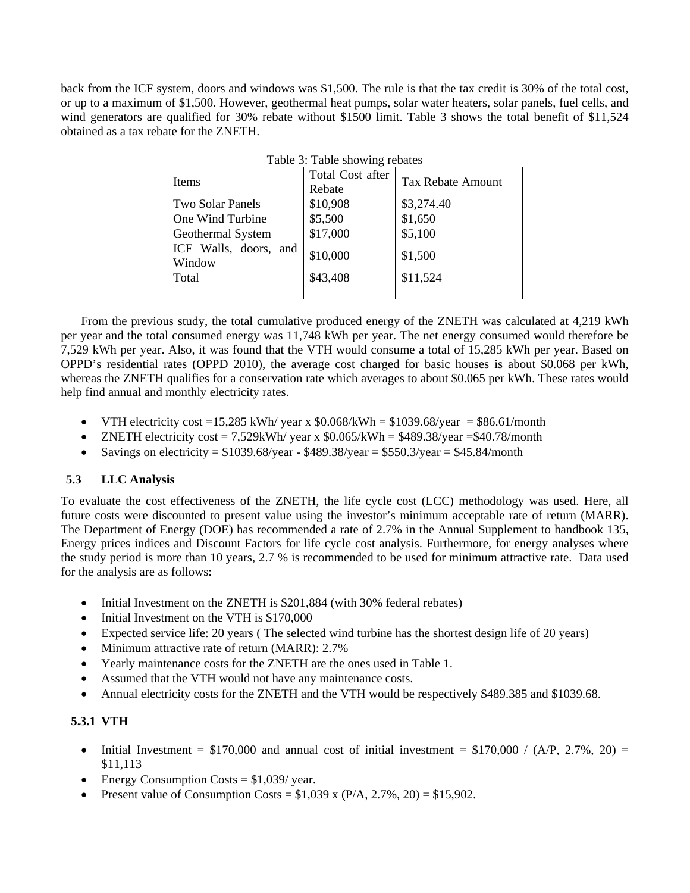back from the ICF system, doors and windows was \$1,500. The rule is that the tax credit is 30% of the total cost, or up to a maximum of \$1,500. However, geothermal heat pumps, solar water heaters, solar panels, fuel cells, and wind generators are qualified for 30% rebate without \$1500 limit. Table 3 shows the total benefit of \$11,524 obtained as a tax rebate for the ZNETH.

Table 3: Table showing rebates

| Items                           | Total Cost after<br>Rebate | Tax Rebate Amount |  |
|---------------------------------|----------------------------|-------------------|--|
| Two Solar Panels                | \$10,908                   | \$3,274.40        |  |
| One Wind Turbine                | \$5,500                    | \$1,650           |  |
| Geothermal System               | \$17,000                   | \$5,100           |  |
| ICF Walls, doors, and<br>Window | \$10,000                   | \$1,500           |  |
| Total                           | \$43,408                   | \$11,524          |  |
|                                 |                            |                   |  |

 From the previous study, the total cumulative produced energy of the ZNETH was calculated at 4,219 kWh per year and the total consumed energy was 11,748 kWh per year. The net energy consumed would therefore be 7,529 kWh per year. Also, it was found that the VTH would consume a total of 15,285 kWh per year. Based on OPPD's residential rates (OPPD 2010), the average cost charged for basic houses is about \$0.068 per kWh, whereas the ZNETH qualifies for a conservation rate which averages to about \$0.065 per kWh. These rates would help find annual and monthly electricity rates.

- VTH electricity cost =15,285 kWh/ year x  $$0.068/kWh = $1039.68/year = $86.61/month$
- $\bullet$  ZNETH electricity cost = 7.529kWh/ year x \$0.065/kWh = \$489.38/year = \$40.78/month
- Savings on electricity =  $$1039.68/\text{year} $489.38/\text{year} = $550.3/\text{year} = $45.84/\text{month}$

### **5.3 LLC Analysis**

To evaluate the cost effectiveness of the ZNETH, the life cycle cost (LCC) methodology was used. Here, all future costs were discounted to present value using the investor's minimum acceptable rate of return (MARR). The Department of Energy (DOE) has recommended a rate of 2.7% in the Annual Supplement to handbook 135, Energy prices indices and Discount Factors for life cycle cost analysis. Furthermore, for energy analyses where the study period is more than 10 years, 2.7 % is recommended to be used for minimum attractive rate. Data used for the analysis are as follows:

- Initial Investment on the ZNETH is \$201,884 (with 30% federal rebates)
- Initial Investment on the VTH is \$170,000
- Expected service life: 20 years ( The selected wind turbine has the shortest design life of 20 years)
- Minimum attractive rate of return (MARR): 2.7%
- Yearly maintenance costs for the ZNETH are the ones used in Table 1.
- Assumed that the VTH would not have any maintenance costs.
- Annual electricity costs for the ZNETH and the VTH would be respectively \$489.385 and \$1039.68.

# **5.3.1 VTH**

- Initial Investment =  $$170,000$  and annual cost of initial investment =  $$170,000 / (A/P, 2.7\%, 20)$  = \$11,113
- Energy Consumption Costs  $= $1,039$ / year.
- Present value of Consumption Costs =  $$1,039$  x (P/A, 2.7%, 20) =  $$15,902$ .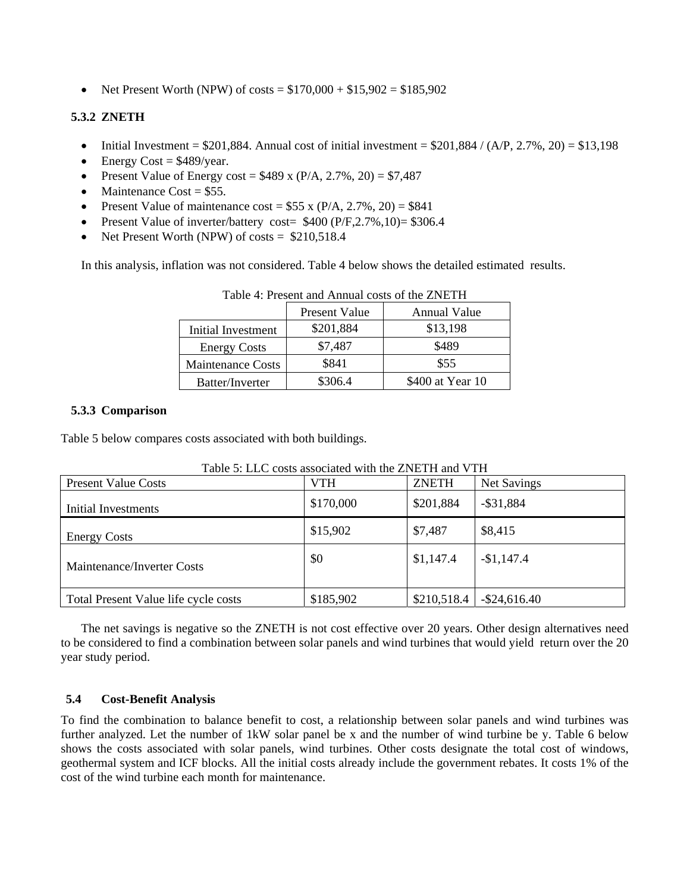• Net Present Worth (NPW) of costs =  $$170,000 + $15,902 = $185,902$ 

## **5.3.2 ZNETH**

- Initial Investment =  $$201,884$ . Annual cost of initial investment =  $$201,884 / (A/P, 2.7\%, 20) = $13,198$
- $\bullet$  Energy Cost = \$489/year.
- Present Value of Energy cost =  $$489 \times (P/A, 2.7\%, 20) = $7,487$
- Maintenance  $Cost = $55$ .
- Present Value of maintenance cost =  $$55 x (P/A, 2.7\%, 20) = $841$
- Present Value of inverter/battery cost=  $$400 (P/F, 2.7%, 10) = $306.4$
- Net Present Worth (NPW) of costs  $=$  \$210,518.4

In this analysis, inflation was not considered. Table 4 below shows the detailed estimated results.

|                          | Present Value | Annual Value     |
|--------------------------|---------------|------------------|
| Initial Investment       | \$201,884     | \$13,198         |
| <b>Energy Costs</b>      | \$7,487       | \$489            |
| <b>Maintenance Costs</b> | \$841         | \$55             |
| Batter/Inverter          | \$306.4       | \$400 at Year 10 |

Table 4: Present and Annual costs of the ZNETH

#### **5.3.3 Comparison**

Table 5 below compares costs associated with both buildings.

| <b>Present Value Costs</b>           | VTH       | <b>ZNETH</b> | <b>Net Savings</b> |
|--------------------------------------|-----------|--------------|--------------------|
| Initial Investments                  | \$170,000 | \$201,884    | $-$ \$31,884       |
| <b>Energy Costs</b>                  | \$15,902  | \$7,487      | \$8,415            |
| Maintenance/Inverter Costs           | \$0       | \$1,147.4    | $-$1,147.4$        |
| Total Present Value life cycle costs | \$185,902 | \$210,518.4  | $-$ \$24,616.40    |

Table 5: LLC costs associated with the ZNETH and VTH

 The net savings is negative so the ZNETH is not cost effective over 20 years. Other design alternatives need to be considered to find a combination between solar panels and wind turbines that would yield return over the 20 year study period.

### **5.4 Cost-Benefit Analysis**

To find the combination to balance benefit to cost, a relationship between solar panels and wind turbines was further analyzed. Let the number of 1kW solar panel be x and the number of wind turbine be y. Table 6 below shows the costs associated with solar panels, wind turbines. Other costs designate the total cost of windows, geothermal system and ICF blocks. All the initial costs already include the government rebates. It costs 1% of the cost of the wind turbine each month for maintenance.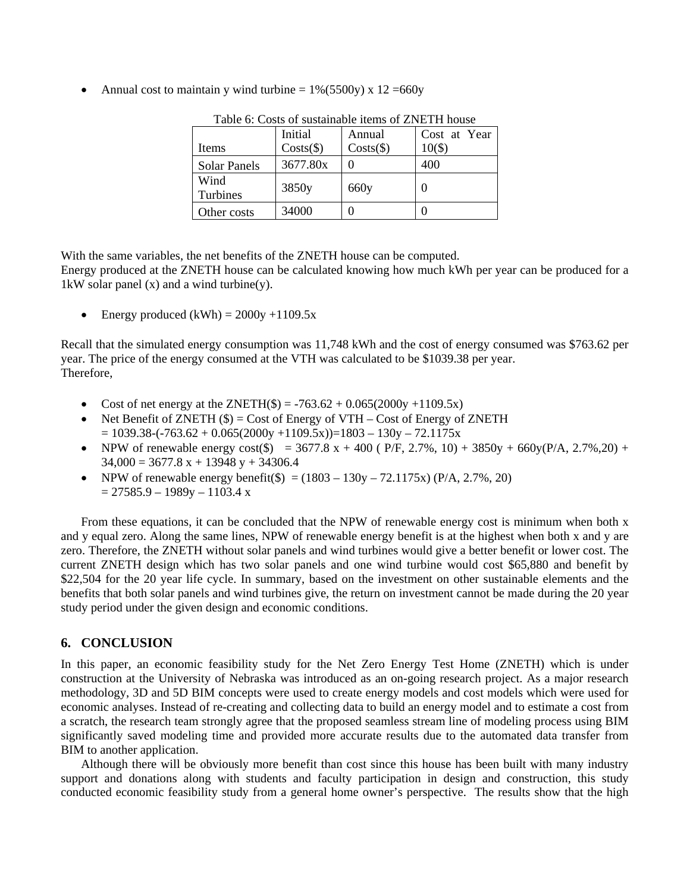• Annual cost to maintain y wind turbine  $= 1\% (5500y) \times 12 = 660y$ 

|                     | Initial             | Annual              | Cost at Year |
|---------------------|---------------------|---------------------|--------------|
| Items               | $Costs(\text{$\$})$ | $Costs(\text{$\$})$ | $10($ \$)    |
| <b>Solar Panels</b> | 3677.80x            |                     | 400          |
| Wind<br>Turbines    | 3850y               | 660y                |              |
| Other costs         | 34000               |                     |              |

Table 6: Costs of sustainable items of ZNETH house

With the same variables, the net benefits of the ZNETH house can be computed.

Energy produced at the ZNETH house can be calculated knowing how much kWh per year can be produced for a 1kW solar panel  $(x)$  and a wind turbine $(y)$ .

Energy produced  $(kWh) = 2000y +1109.5x$ 

Recall that the simulated energy consumption was 11,748 kWh and the cost of energy consumed was \$763.62 per year. The price of the energy consumed at the VTH was calculated to be \$1039.38 per year. Therefore,

- Cost of net energy at the ZNETH(\$) =  $-763.62 + 0.065(2000y +1109.5x)$
- Net Benefit of ZNETH  $(\$) = \text{Cost}$  of Energy of VTH Cost of Energy of ZNETH  $= 1039.38 - (-763.62 + 0.065(2000y +1109.5x)) = 1803 - 130y - 72.1175x$
- NPW of renewable energy cost(\$) = 3677.8 x + 400 (  $P/F$ , 2.7%, 10) + 3850y + 660y( $P/A$ , 2.7%, 20) +  $34,000 = 3677.8 \text{ x} + 13948 \text{ y} + 34306.4$
- NPW of renewable energy benefit(\$) =  $(1803 130y 72.1175x)$  (P/A, 2.7%, 20)  $= 27585.9 - 1989y - 1103.4 x$

 From these equations, it can be concluded that the NPW of renewable energy cost is minimum when both x and y equal zero. Along the same lines, NPW of renewable energy benefit is at the highest when both x and y are zero. Therefore, the ZNETH without solar panels and wind turbines would give a better benefit or lower cost. The current ZNETH design which has two solar panels and one wind turbine would cost \$65,880 and benefit by \$22,504 for the 20 year life cycle. In summary, based on the investment on other sustainable elements and the benefits that both solar panels and wind turbines give, the return on investment cannot be made during the 20 year study period under the given design and economic conditions.

# **6. CONCLUSION**

In this paper, an economic feasibility study for the Net Zero Energy Test Home (ZNETH) which is under construction at the University of Nebraska was introduced as an on-going research project. As a major research methodology, 3D and 5D BIM concepts were used to create energy models and cost models which were used for economic analyses. Instead of re-creating and collecting data to build an energy model and to estimate a cost from a scratch, the research team strongly agree that the proposed seamless stream line of modeling process using BIM significantly saved modeling time and provided more accurate results due to the automated data transfer from BIM to another application.

 Although there will be obviously more benefit than cost since this house has been built with many industry support and donations along with students and faculty participation in design and construction, this study conducted economic feasibility study from a general home owner's perspective. The results show that the high